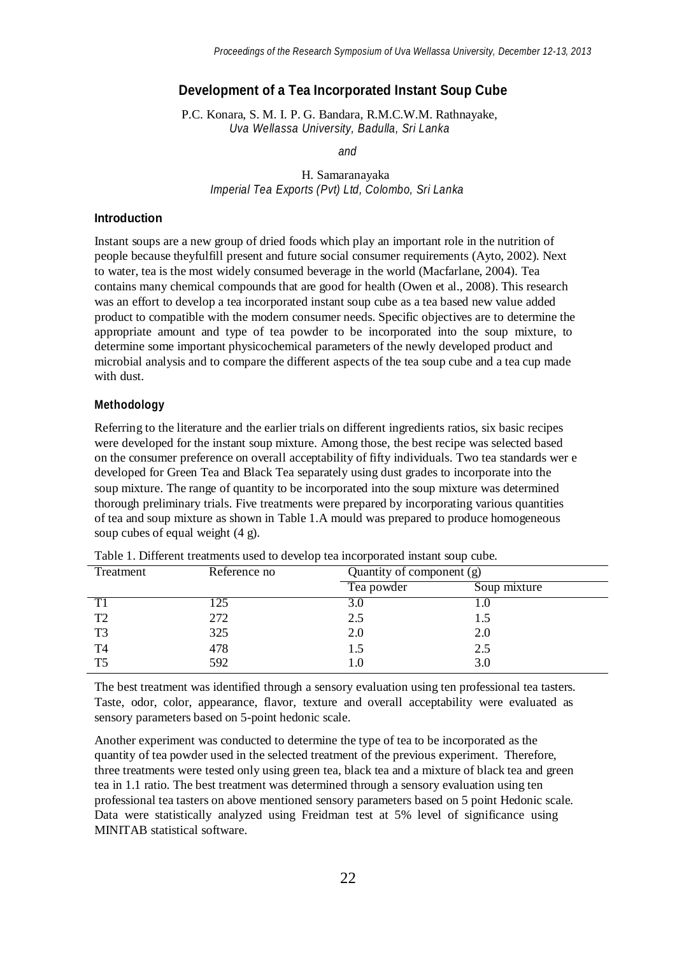# **Development of a Tea Incorporated Instant Soup Cube**

P.C. Konara, S. M. I. P. G. Bandara, R.M.C.W.M. Rathnayake, *Uva Wellassa University, Badulla, Sri Lanka*

*and*

### H. Samaranayaka *Imperial Tea Exports (Pvt) Ltd, Colombo, Sri Lanka*

### **Introduction**

Instant soups are a new group of dried foods which play an important role in the nutrition of people because theyfulfill present and future social consumer requirements (Ayto, 2002). Next to water, tea is the most widely consumed beverage in the world (Macfarlane, 2004). Tea contains many chemical compounds that are good for health (Owen et al., 2008). This research was an effort to develop a tea incorporated instant soup cube as a tea based new value added product to compatible with the modern consumer needs. Specific objectives are to determine the appropriate amount and type of tea powder to be incorporated into the soup mixture, to determine some important physicochemical parameters of the newly developed product and microbial analysis and to compare the different aspects of the tea soup cube and a tea cup made with dust.

## **Methodology**

Referring to the literature and the earlier trials on different ingredients ratios, six basic recipes were developed for the instant soup mixture. Among those, the best recipe was selected based on the consumer preference on overall acceptability of fifty individuals. Two tea standards wer e developed for Green Tea and Black Tea separately using dust grades to incorporate into the soup mixture. The range of quantity to be incorporated into the soup mixture was determined thorough preliminary trials. Five treatments were prepared by incorporating various quantities of tea and soup mixture as shown in Table 1.A mould was prepared to produce homogeneous soup cubes of equal weight (4 g).

| Treatment | Reference no | Quantity of component (g) |              |  |
|-----------|--------------|---------------------------|--------------|--|
|           |              | Tea powder                | Soup mixture |  |
|           |              | 3.0                       |              |  |
| T2        | 272          | 2.5                       | 1.5          |  |
| T3        | 325          | 2.0                       | 2.0          |  |
| T4        | 478          | 1.5                       | 2.5          |  |
| ፐና        | 592          | 1.0                       | 3.0          |  |

Table 1. Different treatments used to develop tea incorporated instant soup cube.

The best treatment was identified through a sensory evaluation using ten professional tea tasters. Taste, odor, color, appearance, flavor, texture and overall acceptability were evaluated as sensory parameters based on 5-point hedonic scale.

Another experiment was conducted to determine the type of tea to be incorporated as the quantity of tea powder used in the selected treatment of the previous experiment. Therefore, three treatments were tested only using green tea, black tea and a mixture of black tea and green tea in 1.1 ratio. The best treatment was determined through a sensory evaluation using ten professional tea tasters on above mentioned sensory parameters based on 5 point Hedonic scale. Data were statistically analyzed using Freidman test at 5% level of significance using MINITAB statistical software.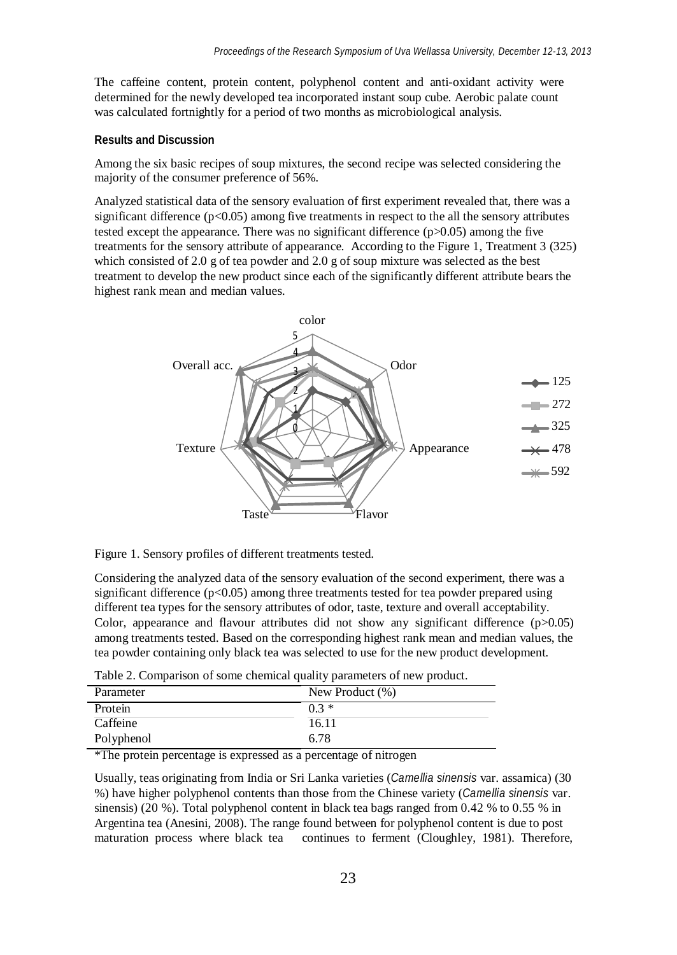The caffeine content, protein content, polyphenol content and anti-oxidant activity were determined for the newly developed tea incorporated instant soup cube. Aerobic palate count was calculated fortnightly for a period of two months as microbiological analysis.

### **Results and Discussion**

Among the six basic recipes of soup mixtures, the second recipe was selected considering the majority of the consumer preference of 56%.

Analyzed statistical data of the sensory evaluation of first experiment revealed that, there was a significant difference  $(p<0.05)$  among five treatments in respect to the all the sensory attributes tested except the appearance. There was no significant difference  $(p>0.05)$  among the five treatments for the sensory attribute of appearance. According to the Figure 1, Treatment 3 (325) which consisted of 2.0 g of tea powder and 2.0 g of soup mixture was selected as the best treatment to develop the new product since each of the significantly different attribute bears the highest rank mean and median values.



Figure 1. Sensory profiles of different treatments tested.

Considering the analyzed data of the sensory evaluation of the second experiment, there was a significant difference  $(p<0.05)$  among three treatments tested for tea powder prepared using different tea types for the sensory attributes of odor, taste, texture and overall acceptability. Color, appearance and flavour attributes did not show any significant difference  $(p>0.05)$ among treatments tested. Based on the corresponding highest rank mean and median values, the tea powder containing only black tea was selected to use for the new product development.

| Parameter  | New Product $(\%)$ |
|------------|--------------------|
| Protein    | $0.3 *$            |
| Caffeine   | 16.11              |
| Polyphenol | 6.78               |

\*The protein percentage is expressed as a percentage of nitrogen

Usually, teas originating from India or Sri Lanka varieties (*Camellia sinensis* var. assamica) (30 %) have higher polyphenol contents than those from the Chinese variety (*Camellia sinensis* var. sinensis) (20 %). Total polyphenol content in black tea bags ranged from 0.42 % to 0.55 % in Argentina tea (Anesini, 2008). The range found between for polyphenol content is due to post maturation process where black tea continues to ferment (Cloughley, 1981). Therefore,